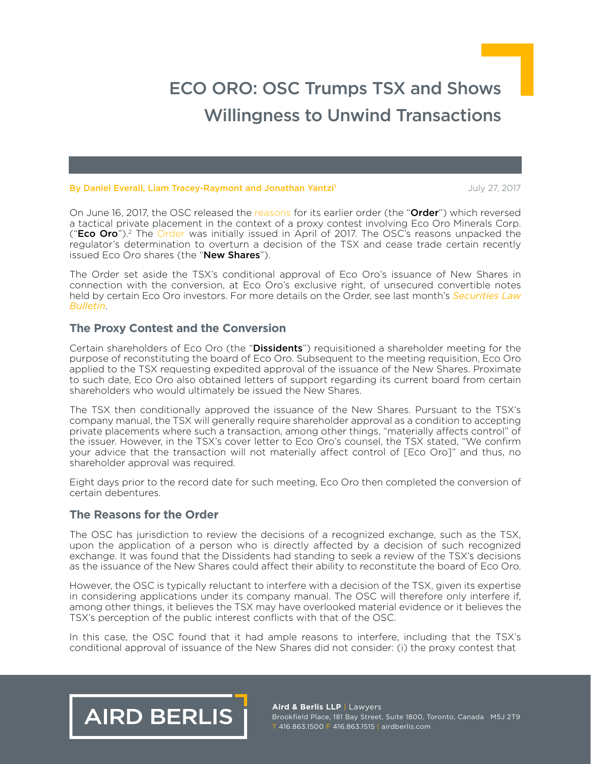#### By [Daniel Everall](http://www.airdberlis.com/people/bio/daniel-everall), [Liam Tracey-Raymont](http://www.airdberlis.com/people/bio/liam-tracey-raymont) and Jonathan Yantzi<sup>1</sup> 2001/12/2017 19:30:00 July 27, 2017

On June 16, 2017, the OSC released the [reasons](https://sites-airdberlis.vuturevx.com/email_handler.aspx?sid=a5853a2f-91a7-4f3c-a765-99f139351b0a&redirect=http%3a%2f%2fwww.osc.gov.on.ca%2fen%2fProceedings_rad_20170616_eco-oro-minerals.htm) for its earlier order (the "Order") which reversed a tactical private placement in the context of a proxy contest involving Eco Oro Minerals Corp. ("**Eco Oro**").<sup>2</sup> The [Order](https://sites-airdberlis.vuturevx.com/email_handler.aspx?sid=a5853a2f-91a7-4f3c-a765-99f139351b0a&redirect=http%3a%2f%2fwww.osc.gov.on.ca%2fen%2fSecuritiesLaw_ord_20170427_223_eco-oro.htm) was initially issued in April of 2017. The OSC's reasons unpacked the regulator's determination to overturn a decision of the TSX and cease trade certain recently issued Eco Oro shares (the "New Shares").

The Order set aside the TSX's conditional approval of Eco Oro's issuance of New Shares in connection with the conversion, at Eco Oro's exclusive right, of unsecured convertible notes held by certain Eco Oro investors. For more details on the Order, see last month's *[Securities Law](https://sites-airdberlis.vuturevx.com/email_handler.aspx?sid=a5853a2f-91a7-4f3c-a765-99f139351b0a&redirect=http%3a%2f%2fwww.airdberlis.com%2finsights%2fpublications%2fpublication%2fsecurities-law-bulletin---osc-hits-pause-and-potentially-rewinds-eco-oro-s-share-issuance) [Bulletin](https://sites-airdberlis.vuturevx.com/email_handler.aspx?sid=a5853a2f-91a7-4f3c-a765-99f139351b0a&redirect=http%3a%2f%2fwww.airdberlis.com%2finsights%2fpublications%2fpublication%2fsecurities-law-bulletin---osc-hits-pause-and-potentially-rewinds-eco-oro-s-share-issuance)*.

### **The Proxy Contest and the Conversion**

Certain shareholders of Eco Oro (the "Dissidents") requisitioned a shareholder meeting for the purpose of reconstituting the board of Eco Oro. Subsequent to the meeting requisition, Eco Oro applied to the TSX requesting expedited approval of the issuance of the New Shares. Proximate to such date, Eco Oro also obtained letters of support regarding its current board from certain shareholders who would ultimately be issued the New Shares.

The TSX then conditionally approved the issuance of the New Shares. Pursuant to the TSX's company manual, the TSX will generally require shareholder approval as a condition to accepting private placements where such a transaction, among other things, "materially affects control" of the issuer. However, in the TSX's cover letter to Eco Oro's counsel, the TSX stated, "We confirm your advice that the transaction will not materially affect control of [Eco Oro]" and thus, no shareholder approval was required.

Eight days prior to the record date for such meeting, Eco Oro then completed the conversion of certain debentures.

#### **The Reasons for the Order**

The OSC has jurisdiction to review the decisions of a recognized exchange, such as the TSX, upon the application of a person who is directly affected by a decision of such recognized exchange. It was found that the Dissidents had standing to seek a review of the TSX's decisions as the issuance of the New Shares could affect their ability to reconstitute the board of Eco Oro.

However, the OSC is typically reluctant to interfere with a decision of the TSX, given its expertise in considering applications under its company manual. The OSC will therefore only interfere if, among other things, it believes the TSX may have overlooked material evidence or it believes the TSX's perception of the public interest conflicts with that of the OSC.

In this case, the OSC found that it had ample reasons to interfere, including that the TSX's conditional approval of issuance of the New Shares did not consider: (i) the proxy contest that



**Aird & Berlis LLP** | Lawyers Brookfield Place, 181 Bay Street, Suite 1800, Toronto, Canada M5J 2T9 T 416.863.1500 F 416.863.1515 | airdberlis.com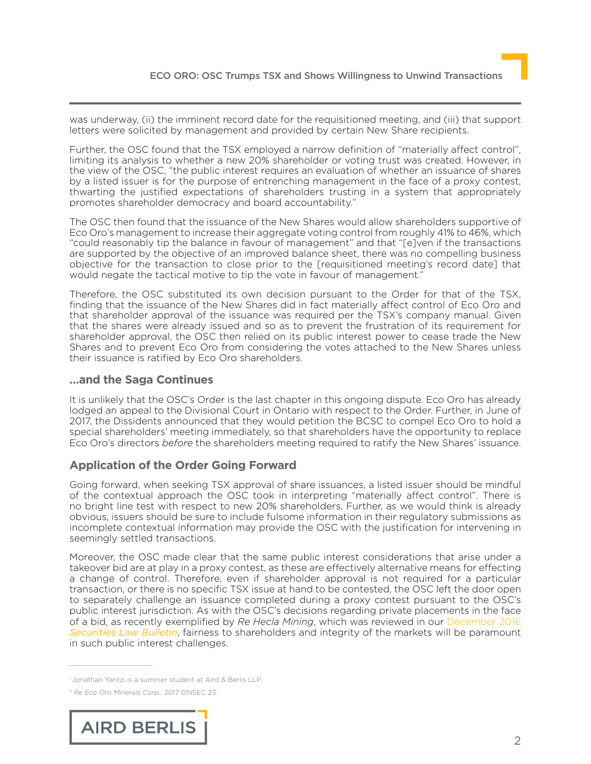was underway, (ii) the imminent record date for the requisitioned meeting, and (iii) that support letters were solicited by management and provided by certain New Share recipients.

Further, the OSC found that the TSX employed a narrow definition of "materially affect control", limiting its analysis to whether a new 20% shareholder or voting trust was created. However, in the view of the OSC, "the public interest requires an evaluation of whether an issuance of shares by a listed issuer is for the purpose of entrenching management in the face of a proxy contest, thwarting the justified expectations of shareholders trusting in a system that appropriately promotes shareholder democracy and board accountability."

The OSC then found that the issuance of the New Shares would allow shareholders supportive of Eco Oro's management to increase their aggregate voting control from roughly 41% to 46%, which "could reasonably tip the balance in favour of management" and that "[e]ven if the transactions are supported by the objective of an improved balance sheet, there was no compelling business objective for the transaction to close prior to the [requisitioned meeting's record date] that would negate the tactical motive to tip the vote in favour of management."

Therefore, the OSC substituted its own decision pursuant to the Order for that of the TSX, finding that the issuance of the New Shares did in fact materially affect control of Eco Oro and that shareholder approval of the issuance was required per the TSX's company manual. Given that the shares were already issued and so as to prevent the frustration of its requirement for shareholder approval, the OSC then relied on its public interest power to cease trade the New Shares and to prevent Eco Oro from considering the votes attached to the New Shares unless their issuance is ratified by Eco Oro shareholders.

## **…and the Saga Continues**

It is unlikely that the OSC's Order is the last chapter in this ongoing dispute. Eco Oro has already lodged an appeal to the Divisional Court in Ontario with respect to the Order. Further, in June of 2017, the Dissidents announced that they would petition the BCSC to compel Eco Oro to hold a special shareholders' meeting immediately, so that shareholders have the opportunity to replace Eco Oro's directors *before* the shareholders meeting required to ratify the New Shares' issuance.

# **Application of the Order Going Forward**

Going forward, when seeking TSX approval of share issuances, a listed issuer should be mindful of the contextual approach the OSC took in interpreting "materially affect control". There is no bright line test with respect to new 20% shareholders. Further, as we would think is already obvious, issuers should be sure to include fulsome information in their regulatory submissions as incomplete contextual information may provide the OSC with the justification for intervening in seemingly settled transactions.

Moreover, the OSC made clear that the same public interest considerations that arise under a takeover bid are at play in a proxy contest, as these are effectively alternative means for effecting a change of control. Therefore, even if shareholder approval is not required for a particular transaction, or there is no specific TSX issue at hand to be contested, the OSC left the door open to separately challenge an issuance completed during a proxy contest pursuant to the OSC's public interest jurisdiction. As with the OSC's decisions regarding private placements in the face of a bid, as recently exemplified by *Re Hecla Mining*, which was reviewed in our [December 2016](https://sites-airdberlis.vuturevx.com/email_handler.aspx?sid=a5853a2f-91a7-4f3c-a765-99f139351b0a&redirect=http%3a%2f%2fwww.airdberlis.com%2finsights%2fpublications%2fpublication%2fsecurities-law-bulletin---securities-regulators-evaluate-private-placements-as-defensive-tactics-under-the-new-take-over-bid-regime) *[Securities Law Bulletin](https://sites-airdberlis.vuturevx.com/email_handler.aspx?sid=a5853a2f-91a7-4f3c-a765-99f139351b0a&redirect=http%3a%2f%2fwww.airdberlis.com%2finsights%2fpublications%2fpublication%2fsecurities-law-bulletin---securities-regulators-evaluate-private-placements-as-defensive-tactics-under-the-new-take-over-bid-regime)*, fairness to shareholders and integrity of the markets will be paramount in such public interest challenges.

<sup>2</sup> *Re Eco Oro Minerals Corp.*, 2017 ONSEC 23.



<sup>&</sup>lt;sup>1</sup> Jonathan Yantzi is a summer student at Aird & Berlis LLP.